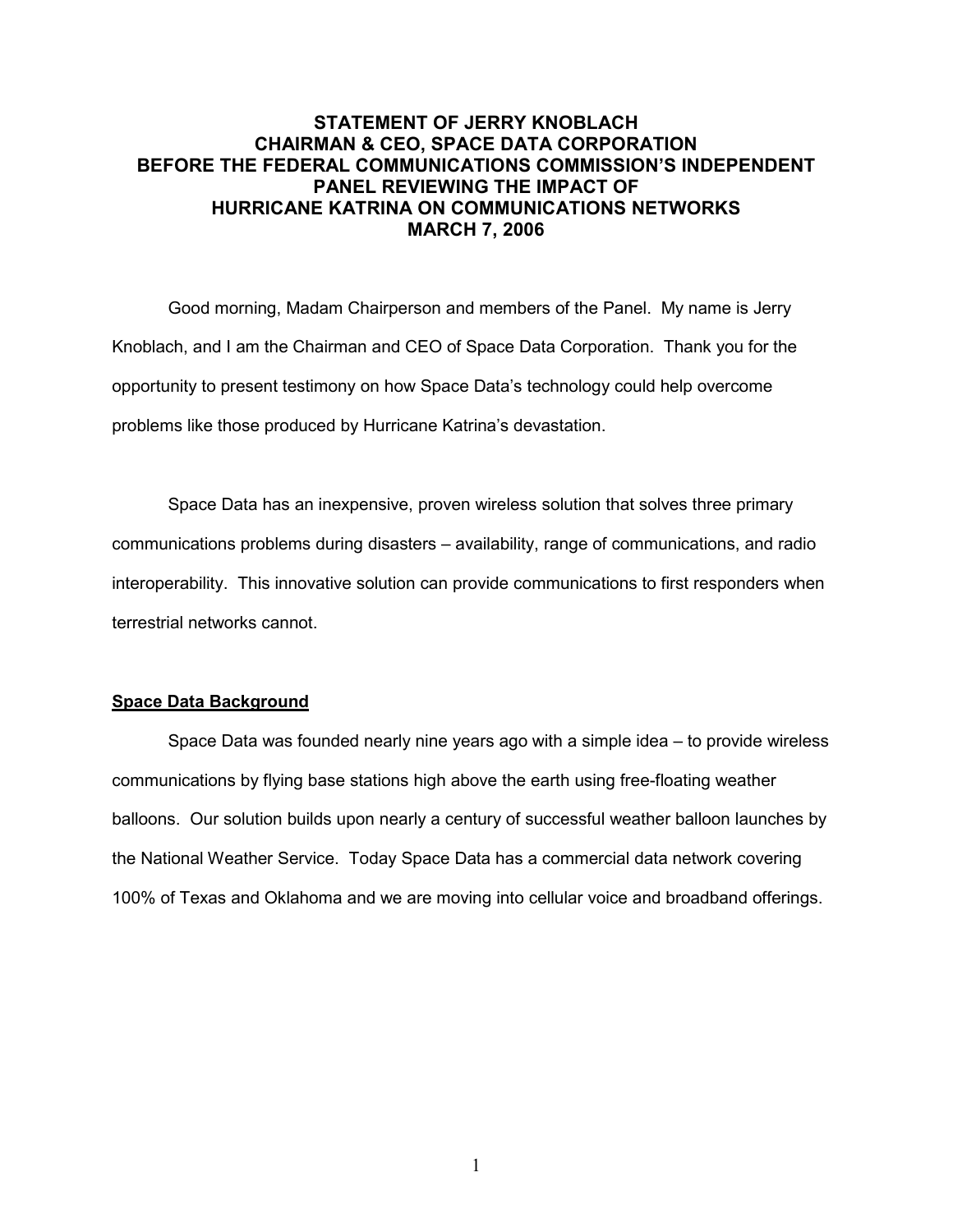# STATEMENT OF JERRY KNOBLACH CHAIRMAN & CEO, SPACE DATA CORPORATION BEFORE THE FEDERAL COMMUNICATIONS COMMISSION'S INDEPENDENT PANEL REVIEWING THE IMPACT OF HURRICANE KATRINA ON COMMUNICATIONS NETWORKS MARCH 7, 2006

Good morning, Madam Chairperson and members of the Panel. My name is Jerry Knoblach, and I am the Chairman and CEO of Space Data Corporation. Thank you for the opportunity to present testimony on how Space Data's technology could help overcome problems like those produced by Hurricane Katrina's devastation.

Space Data has an inexpensive, proven wireless solution that solves three primary communications problems during disasters – availability, range of communications, and radio interoperability. This innovative solution can provide communications to first responders when terrestrial networks cannot.

## Space Data Background

Space Data was founded nearly nine years ago with a simple idea – to provide wireless communications by flying base stations high above the earth using free-floating weather balloons. Our solution builds upon nearly a century of successful weather balloon launches by the National Weather Service. Today Space Data has a commercial data network covering 100% of Texas and Oklahoma and we are moving into cellular voice and broadband offerings.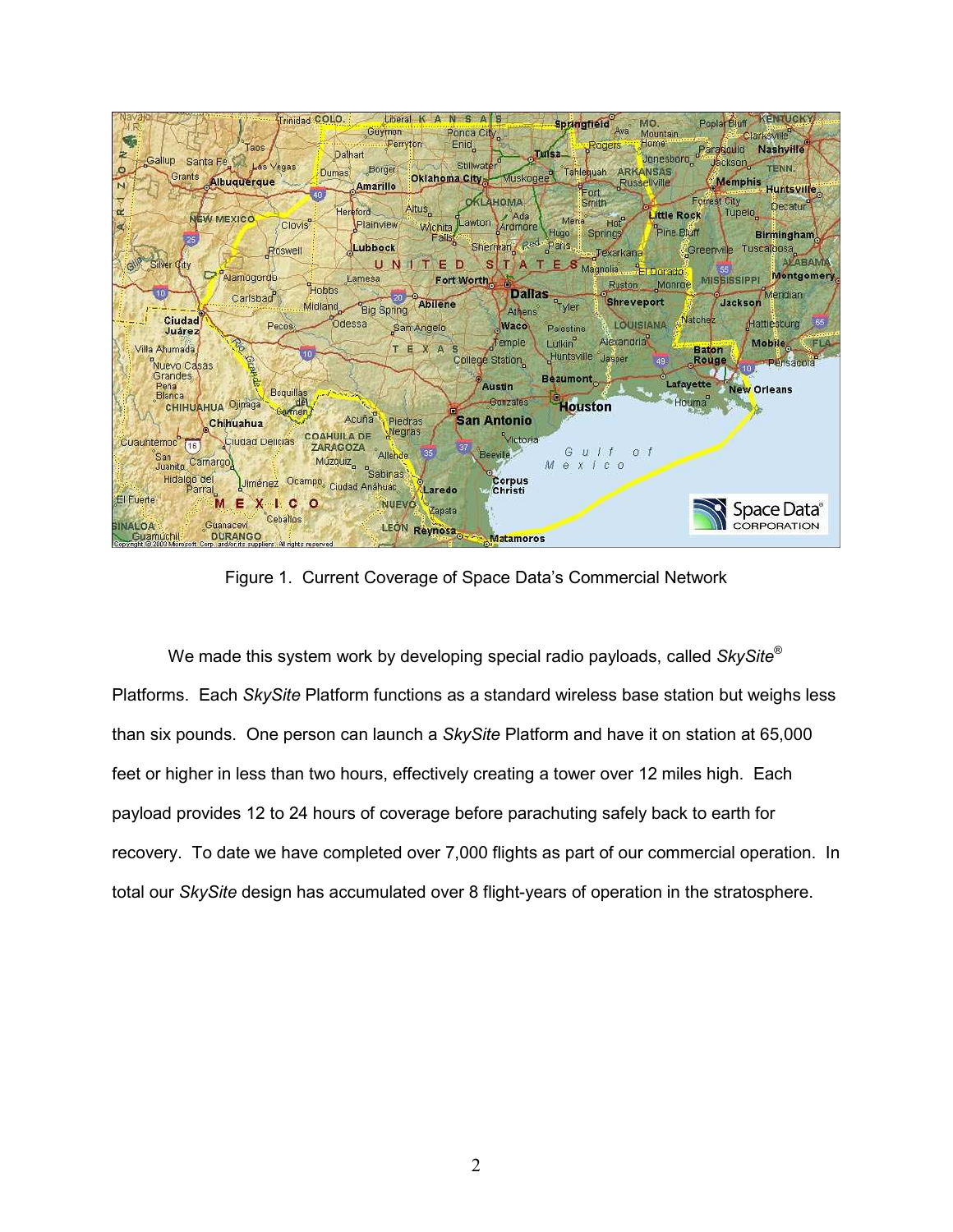

Figure 1. Current Coverage of Space Data's Commercial Network

We made this system work by developing special radio payloads, called  $SkySite^{\circledast}$ Platforms. Each SkySite Platform functions as a standard wireless base station but weighs less than six pounds. One person can launch a SkySite Platform and have it on station at 65,000 feet or higher in less than two hours, effectively creating a tower over 12 miles high. Each payload provides 12 to 24 hours of coverage before parachuting safely back to earth for recovery. To date we have completed over 7,000 flights as part of our commercial operation. In total our SkySite design has accumulated over 8 flight-years of operation in the stratosphere.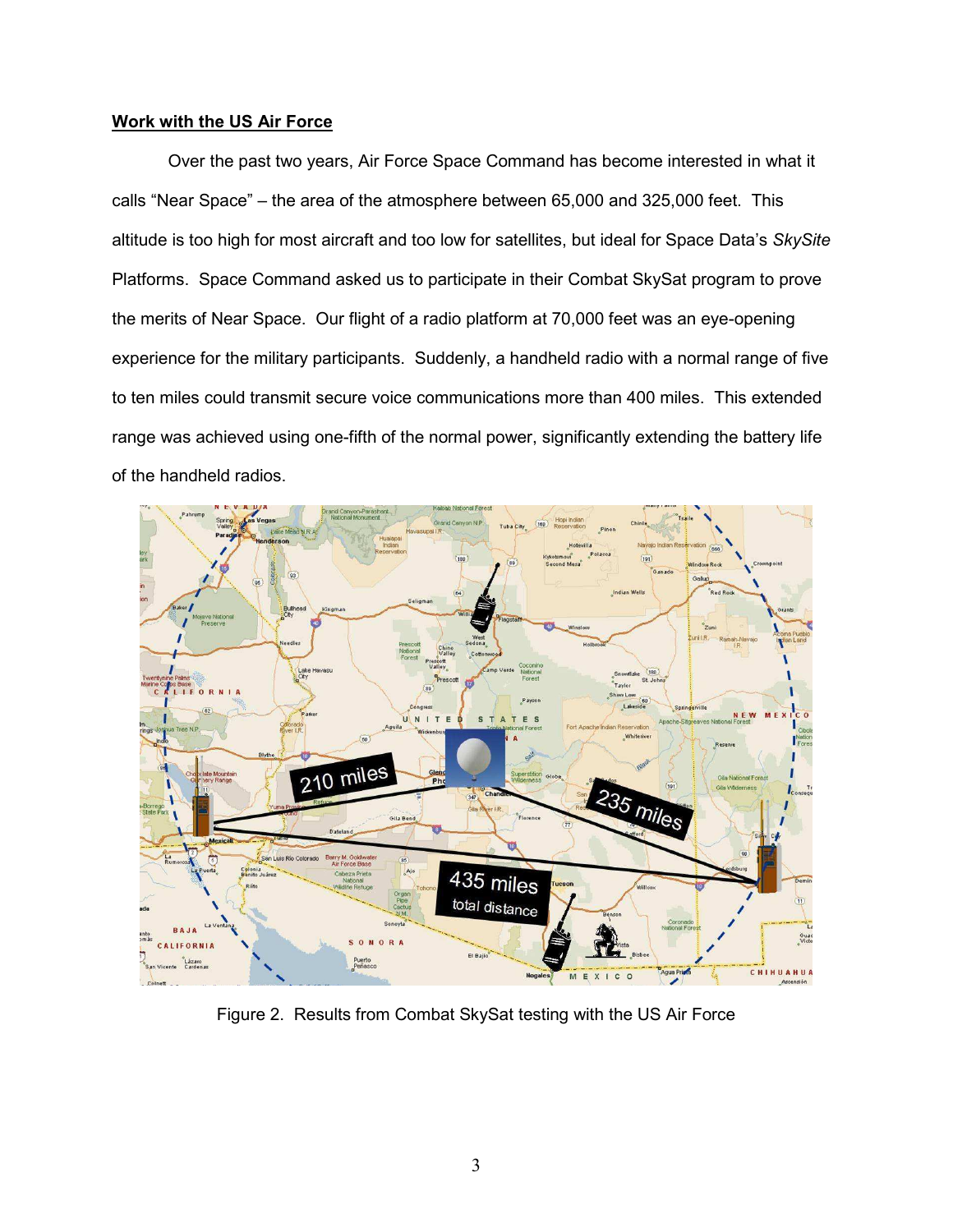## Work with the US Air Force

 Over the past two years, Air Force Space Command has become interested in what it calls "Near Space" – the area of the atmosphere between 65,000 and 325,000 feet. This altitude is too high for most aircraft and too low for satellites, but ideal for Space Data's SkySite Platforms. Space Command asked us to participate in their Combat SkySat program to prove the merits of Near Space. Our flight of a radio platform at 70,000 feet was an eye-opening experience for the military participants. Suddenly, a handheld radio with a normal range of five to ten miles could transmit secure voice communications more than 400 miles. This extended range was achieved using one-fifth of the normal power, significantly extending the battery life of the handheld radios.



Figure 2. Results from Combat SkySat testing with the US Air Force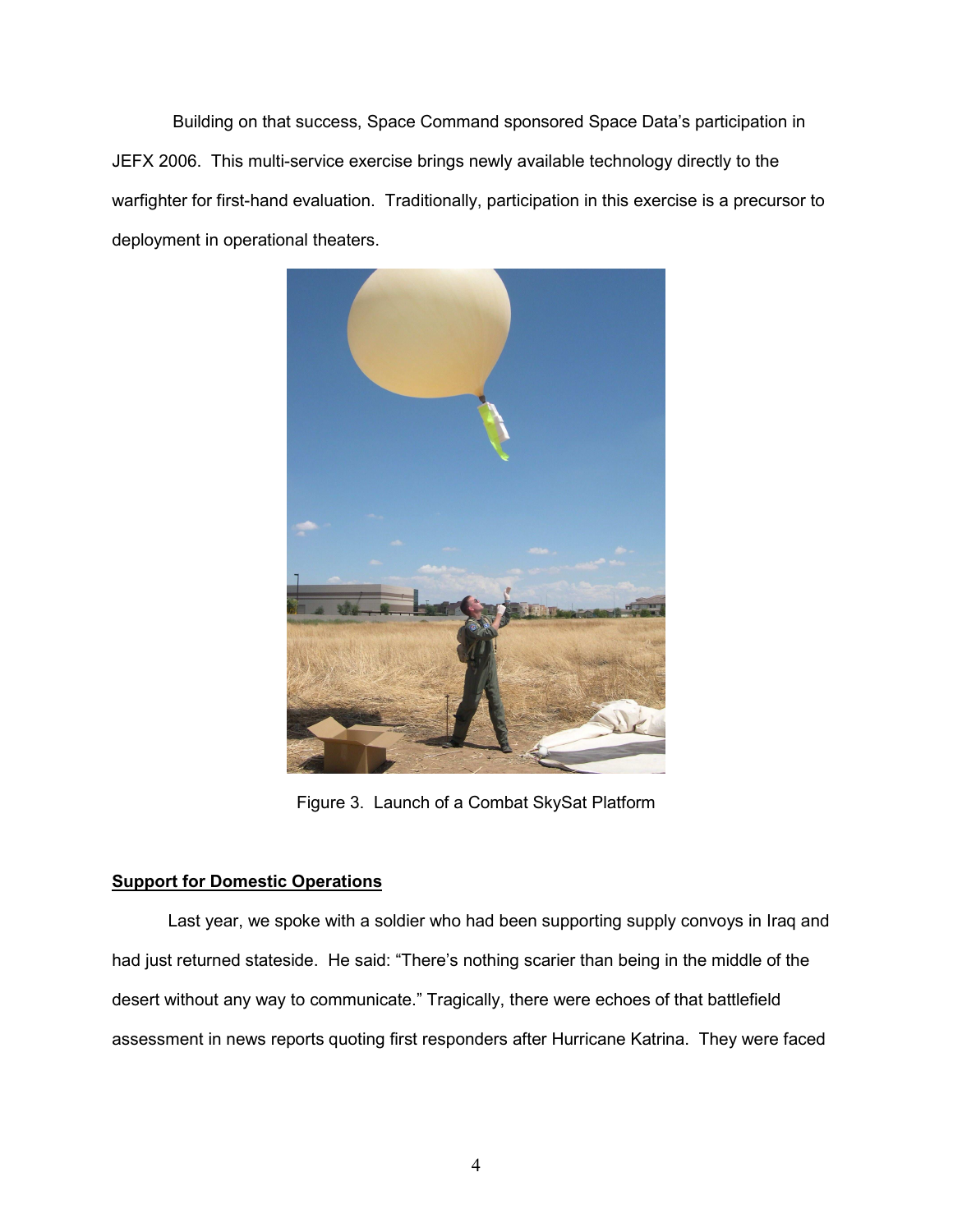Building on that success, Space Command sponsored Space Data's participation in JEFX 2006. This multi-service exercise brings newly available technology directly to the warfighter for first-hand evaluation. Traditionally, participation in this exercise is a precursor to deployment in operational theaters.



Figure 3. Launch of a Combat SkySat Platform

# Support for Domestic Operations

 Last year, we spoke with a soldier who had been supporting supply convoys in Iraq and had just returned stateside. He said: "There's nothing scarier than being in the middle of the desert without any way to communicate." Tragically, there were echoes of that battlefield assessment in news reports quoting first responders after Hurricane Katrina. They were faced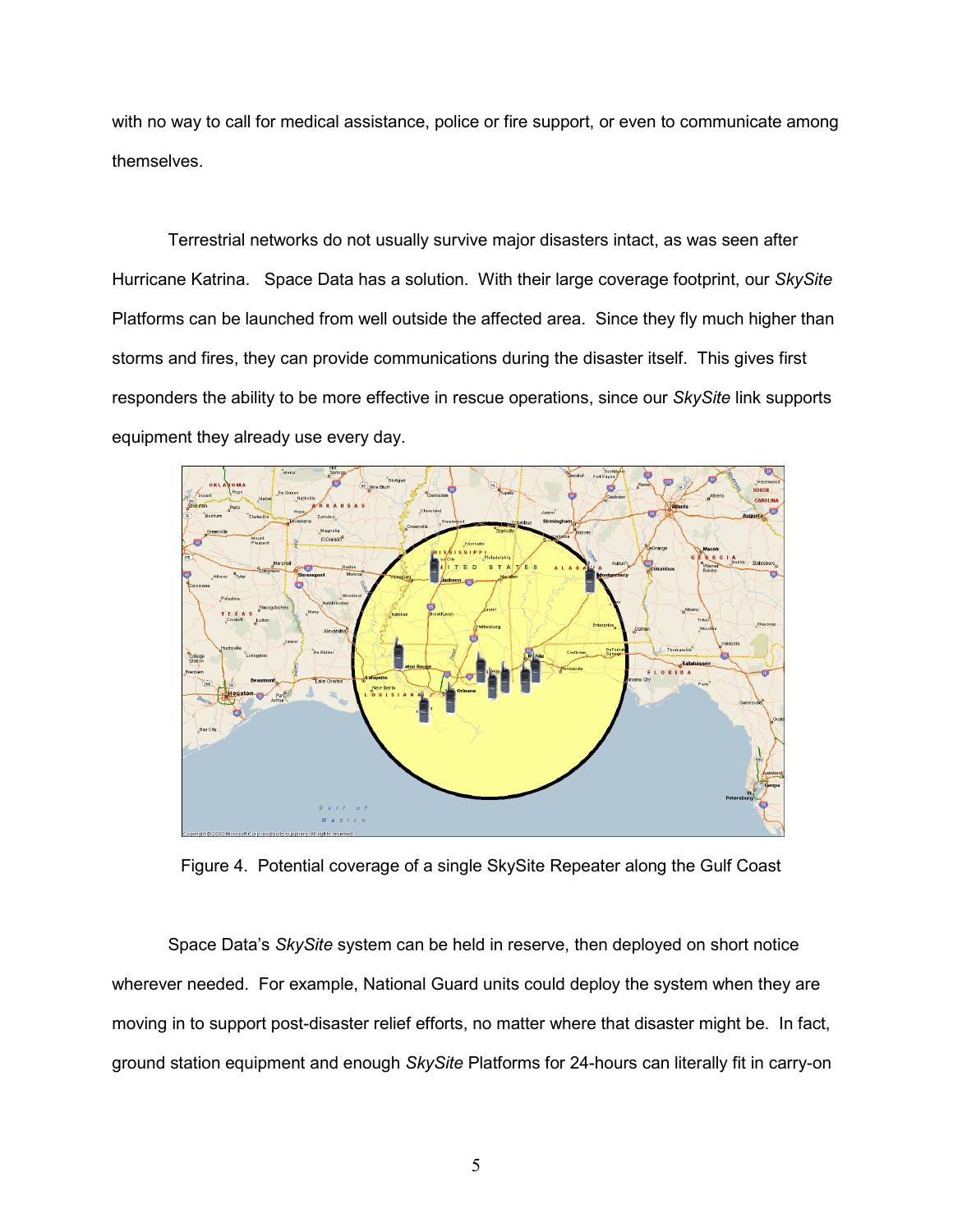with no way to call for medical assistance, police or fire support, or even to communicate among themselves.

Terrestrial networks do not usually survive major disasters intact, as was seen after Hurricane Katrina. Space Data has a solution. With their large coverage footprint, our SkySite Platforms can be launched from well outside the affected area. Since they fly much higher than storms and fires, they can provide communications during the disaster itself. This gives first responders the ability to be more effective in rescue operations, since our SkySite link supports equipment they already use every day.



Figure 4. Potential coverage of a single SkySite Repeater along the Gulf Coast

 Space Data's SkySite system can be held in reserve, then deployed on short notice wherever needed. For example, National Guard units could deploy the system when they are moving in to support post-disaster relief efforts, no matter where that disaster might be. In fact, ground station equipment and enough SkySite Platforms for 24-hours can literally fit in carry-on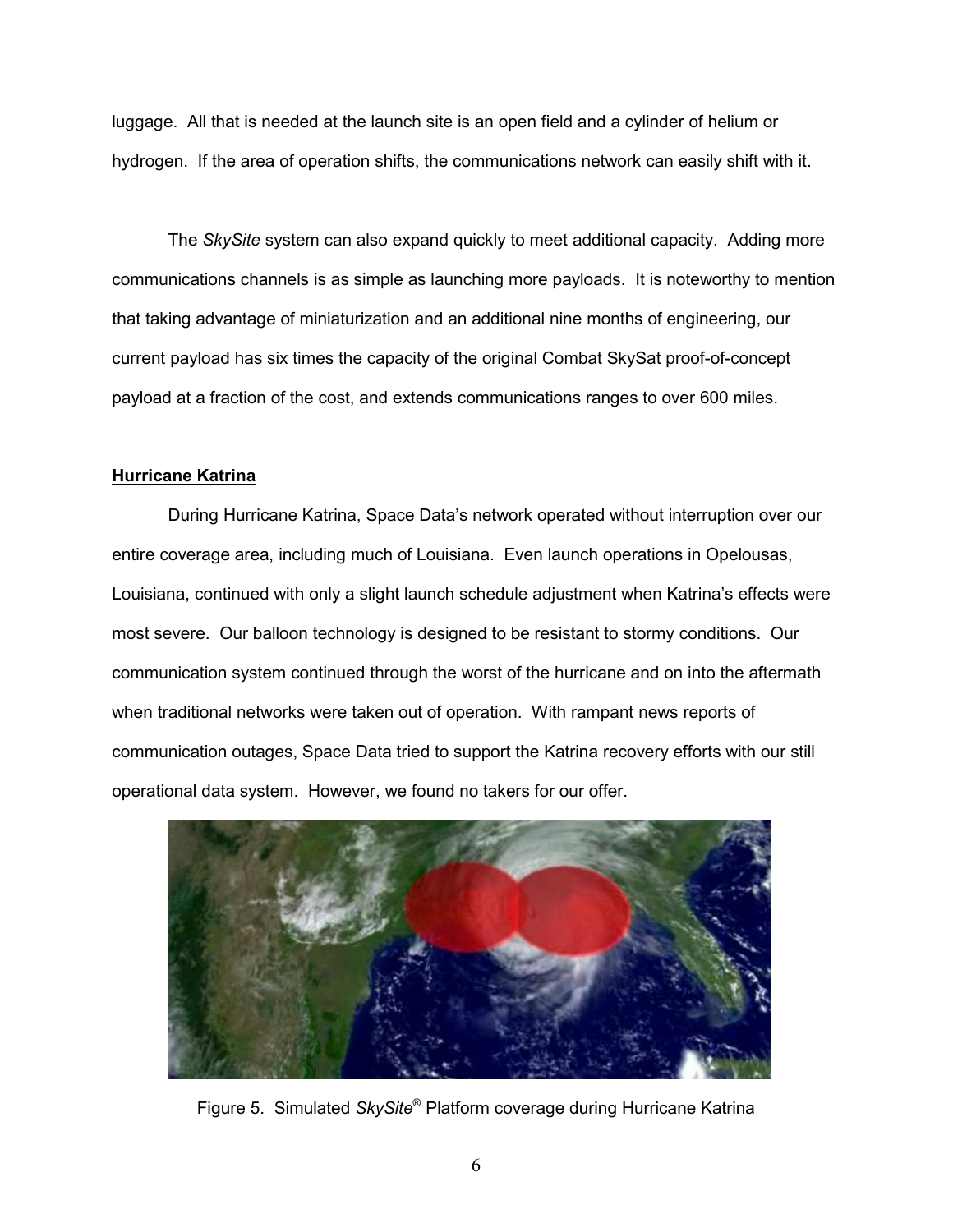luggage. All that is needed at the launch site is an open field and a cylinder of helium or hydrogen. If the area of operation shifts, the communications network can easily shift with it.

 The SkySite system can also expand quickly to meet additional capacity. Adding more communications channels is as simple as launching more payloads. It is noteworthy to mention that taking advantage of miniaturization and an additional nine months of engineering, our current payload has six times the capacity of the original Combat SkySat proof-of-concept payload at a fraction of the cost, and extends communications ranges to over 600 miles.

## Hurricane Katrina

 During Hurricane Katrina, Space Data's network operated without interruption over our entire coverage area, including much of Louisiana. Even launch operations in Opelousas, Louisiana, continued with only a slight launch schedule adjustment when Katrina's effects were most severe. Our balloon technology is designed to be resistant to stormy conditions. Our communication system continued through the worst of the hurricane and on into the aftermath when traditional networks were taken out of operation. With rampant news reports of communication outages, Space Data tried to support the Katrina recovery efforts with our still operational data system. However, we found no takers for our offer.



Figure 5. Simulated SkySite® Platform coverage during Hurricane Katrina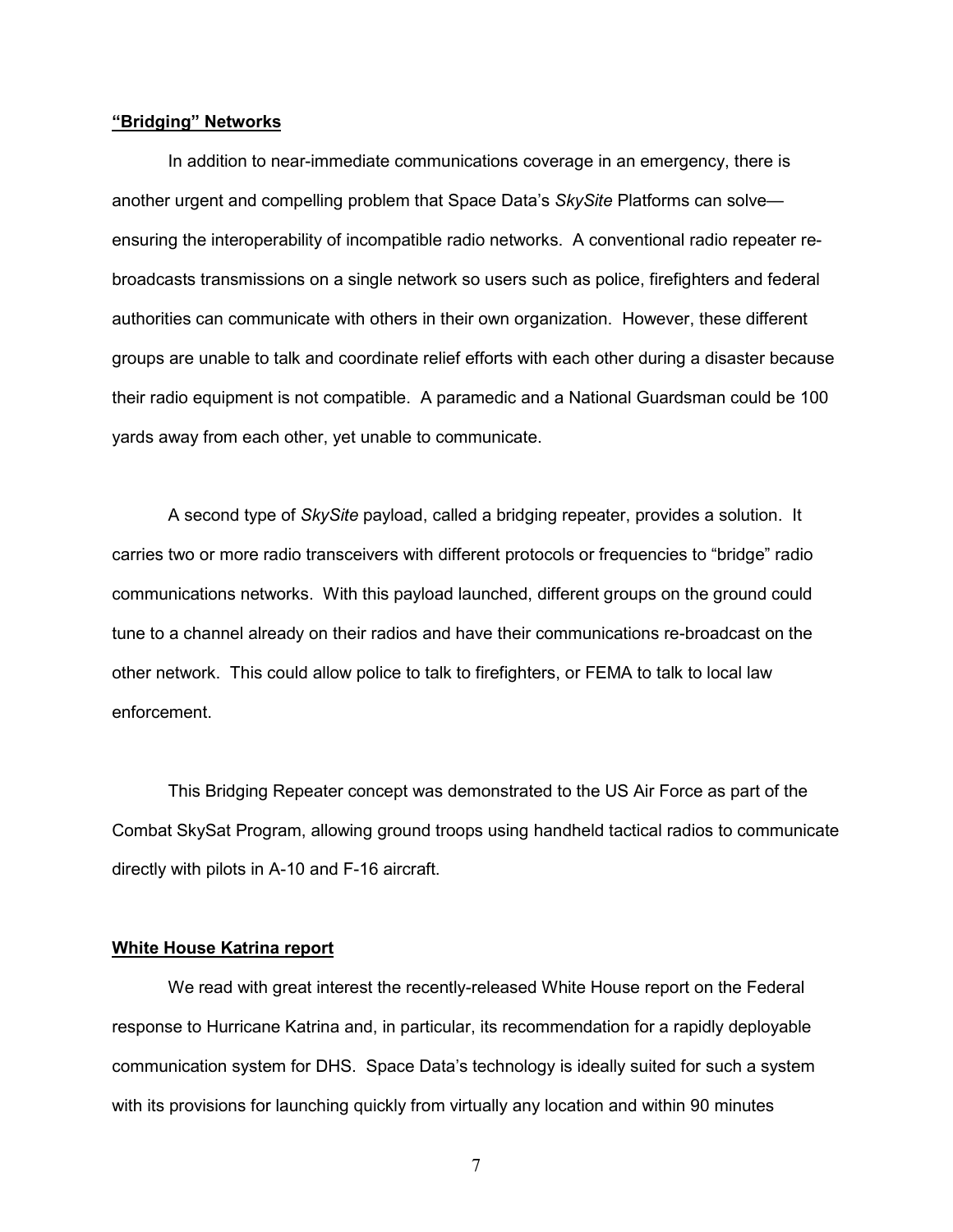#### "Bridging" Networks

 In addition to near-immediate communications coverage in an emergency, there is another urgent and compelling problem that Space Data's SkySite Platforms can solve ensuring the interoperability of incompatible radio networks. A conventional radio repeater rebroadcasts transmissions on a single network so users such as police, firefighters and federal authorities can communicate with others in their own organization. However, these different groups are unable to talk and coordinate relief efforts with each other during a disaster because their radio equipment is not compatible. A paramedic and a National Guardsman could be 100 yards away from each other, yet unable to communicate.

 A second type of SkySite payload, called a bridging repeater, provides a solution. It carries two or more radio transceivers with different protocols or frequencies to "bridge" radio communications networks. With this payload launched, different groups on the ground could tune to a channel already on their radios and have their communications re-broadcast on the other network. This could allow police to talk to firefighters, or FEMA to talk to local law enforcement.

This Bridging Repeater concept was demonstrated to the US Air Force as part of the Combat SkySat Program, allowing ground troops using handheld tactical radios to communicate directly with pilots in A-10 and F-16 aircraft.

#### White House Katrina report

We read with great interest the recently-released White House report on the Federal response to Hurricane Katrina and, in particular, its recommendation for a rapidly deployable communication system for DHS. Space Data's technology is ideally suited for such a system with its provisions for launching quickly from virtually any location and within 90 minutes

7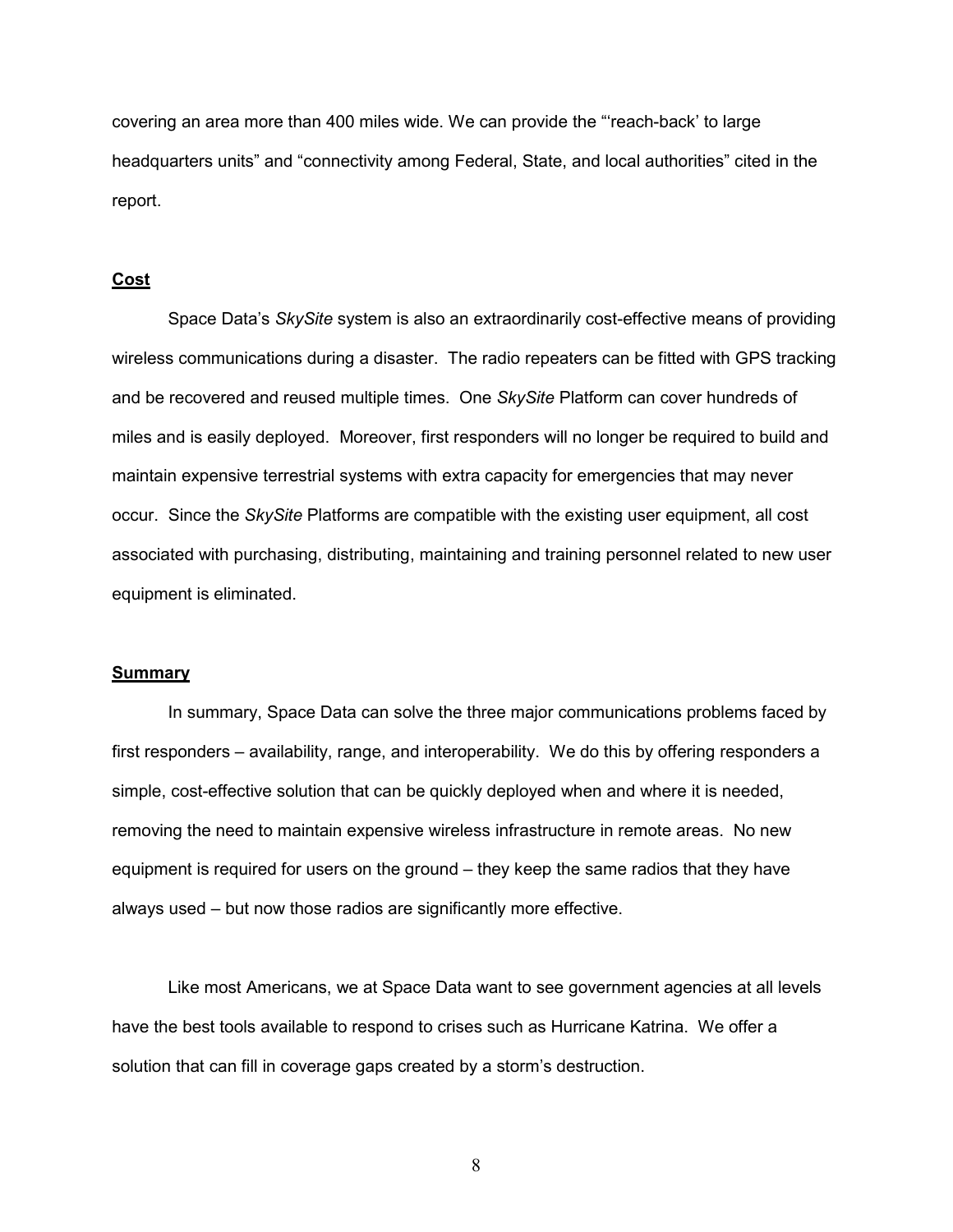covering an area more than 400 miles wide. We can provide the "'reach-back' to large headquarters units" and "connectivity among Federal, State, and local authorities" cited in the report.

#### Cost

Space Data's SkySite system is also an extraordinarily cost-effective means of providing wireless communications during a disaster. The radio repeaters can be fitted with GPS tracking and be recovered and reused multiple times. One SkySite Platform can cover hundreds of miles and is easily deployed. Moreover, first responders will no longer be required to build and maintain expensive terrestrial systems with extra capacity for emergencies that may never occur. Since the SkySite Platforms are compatible with the existing user equipment, all cost associated with purchasing, distributing, maintaining and training personnel related to new user equipment is eliminated.

#### Summary

 In summary, Space Data can solve the three major communications problems faced by first responders – availability, range, and interoperability. We do this by offering responders a simple, cost-effective solution that can be quickly deployed when and where it is needed, removing the need to maintain expensive wireless infrastructure in remote areas. No new equipment is required for users on the ground – they keep the same radios that they have always used – but now those radios are significantly more effective.

 Like most Americans, we at Space Data want to see government agencies at all levels have the best tools available to respond to crises such as Hurricane Katrina. We offer a solution that can fill in coverage gaps created by a storm's destruction.

8